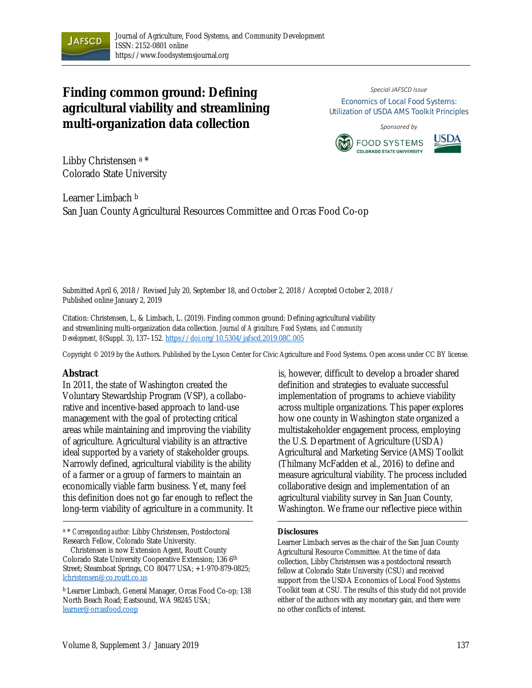

# **Finding common ground: Defining agricultural viability and streamlining multi-organization data collection**

#### *Special JAFSCD Issue* Economics of Local Food Systems: Utilization of USDA AMS Toolkit Principles

*Sponsored by*





Libby Christensen a \* Colorado State University

Learner Limbach b San Juan County Agricultural Resources Committee and Orcas Food Co-op

Submitted April 6, 2018 / Revised July 20, September 18, and October 2, 2018 / Accepted October 2, 2018 / Published online January 2, 2019

Citation: Christensen, L, & Limbach, L. (2019). Finding common ground: Defining agricultural viability and streamlining multi-organization data collection. *Journal of Agriculture, Food Systems, and Community Development, 8*(Suppl. 3), 137–152. https://doi.org/10.5304/jafscd.2019.08C.005

Copyright © 2019 by the Authors. Published by the Lyson Center for Civic Agriculture and Food Systems. Open access under CC BY license.

#### **Abstract**

In 2011, the state of Washington created the Voluntary Stewardship Program (VSP), a collaborative and incentive-based approach to land-use management with the goal of protecting critical areas while maintaining and improving the viability of agriculture. Agricultural viability is an attractive ideal supported by a variety of stakeholder groups. Narrowly defined, agricultural viability is the ability of a farmer or a group of farmers to maintain an economically viable farm business. Yet, many feel this definition does not go far enough to reflect the long-term viability of agriculture in a community. It

<sup>a</sup> \* *Corresponding author:* Libby Christensen, Postdoctoral Research Fellow, Colorado State University.

is, however, difficult to develop a broader shared definition and strategies to evaluate successful implementation of programs to achieve viability across multiple organizations. This paper explores how one county in Washington state organized a multistakeholder engagement process, employing the U.S. Department of Agriculture (USDA) Agricultural and Marketing Service (AMS) Toolkit (Thilmany McFadden et al., 2016) to define and measure agricultural viability. The process included collaborative design and implementation of an agricultural viability survey in San Juan County, Washington. We frame our reflective piece within

#### **Disclosures**

Christensen is now Extension Agent, Routt County Colorado State University Cooperative Extension; 136 6<sup>th</sup> Street; Steamboat Springs, CO 80477 USA; +1-970-879-0825; lchristensen@co.routt.co.us

b Learner Limbach, General Manager, Orcas Food Co-op; 138 North Beach Road; Eastsound, WA 98245 USA; learner@orcasfood.coop

Learner Limbach serves as the chair of the San Juan County Agricultural Resource Committee. At the time of data collection, Libby Christensen was a postdoctoral research fellow at Colorado State University (CSU) and received support from the USDA Economics of Local Food Systems Toolkit team at CSU. The results of this study did not provide either of the authors with any monetary gain, and there were no other conflicts of interest.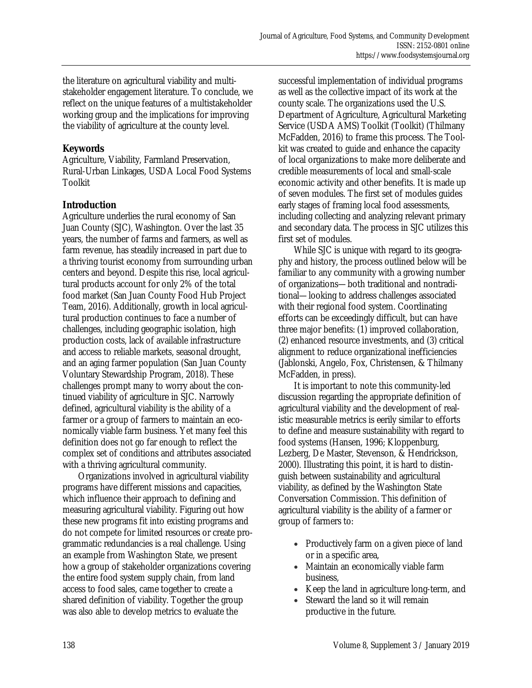the literature on agricultural viability and multistakeholder engagement literature. To conclude, we reflect on the unique features of a multistakeholder working group and the implications for improving the viability of agriculture at the county level.

# **Keywords**

Agriculture, Viability, Farmland Preservation, Rural-Urban Linkages, USDA Local Food Systems Toolkit

# **Introduction**

Agriculture underlies the rural economy of San Juan County (SJC), Washington. Over the last 35 years, the number of farms and farmers, as well as farm revenue, has steadily increased in part due to a thriving tourist economy from surrounding urban centers and beyond. Despite this rise, local agricultural products account for only 2% of the total food market (San Juan County Food Hub Project Team, 2016). Additionally, growth in local agricultural production continues to face a number of challenges, including geographic isolation, high production costs, lack of available infrastructure and access to reliable markets, seasonal drought, and an aging farmer population (San Juan County Voluntary Stewardship Program, 2018). These challenges prompt many to worry about the continued viability of agriculture in SJC. Narrowly defined, agricultural viability is the ability of a farmer or a group of farmers to maintain an economically viable farm business. Yet many feel this definition does not go far enough to reflect the complex set of conditions and attributes associated with a thriving agricultural community.

 Organizations involved in agricultural viability programs have different missions and capacities, which influence their approach to defining and measuring agricultural viability. Figuring out how these new programs fit into existing programs and do not compete for limited resources or create programmatic redundancies is a real challenge. Using an example from Washington State, we present how a group of stakeholder organizations covering the entire food system supply chain, from land access to food sales, came together to create a shared definition of viability. Together the group was also able to develop metrics to evaluate the

successful implementation of individual programs as well as the collective impact of its work at the county scale. The organizations used the U.S. Department of Agriculture, Agricultural Marketing Service (USDA AMS) Toolkit (Toolkit) (Thilmany McFadden, 2016) to frame this process. The Toolkit was created to guide and enhance the capacity of local organizations to make more deliberate and credible measurements of local and small-scale economic activity and other benefits. It is made up of seven modules. The first set of modules guides early stages of framing local food assessments, including collecting and analyzing relevant primary and secondary data. The process in SJC utilizes this first set of modules.

 While SJC is unique with regard to its geography and history, the process outlined below will be familiar to any community with a growing number of organizations—both traditional and nontraditional—looking to address challenges associated with their regional food system. Coordinating efforts can be exceedingly difficult, but can have three major benefits: (1) improved collaboration, (2) enhanced resource investments, and (3) critical alignment to reduce organizational inefficiencies (Jablonski, Angelo, Fox, Christensen, & Thilmany McFadden, in press).

 It is important to note this community-led discussion regarding the appropriate definition of agricultural viability and the development of realistic measurable metrics is eerily similar to efforts to define and measure sustainability with regard to food systems (Hansen, 1996; Kloppenburg, Lezberg, De Master, Stevenson, & Hendrickson, 2000). Illustrating this point, it is hard to distinguish between sustainability and agricultural viability, as defined by the Washington State Conversation Commission. This definition of agricultural viability is the ability of a farmer or group of farmers to:

- Productively farm on a given piece of land or in a specific area,
- Maintain an economically viable farm business,
- Keep the land in agriculture long-term, and
- Steward the land so it will remain productive in the future.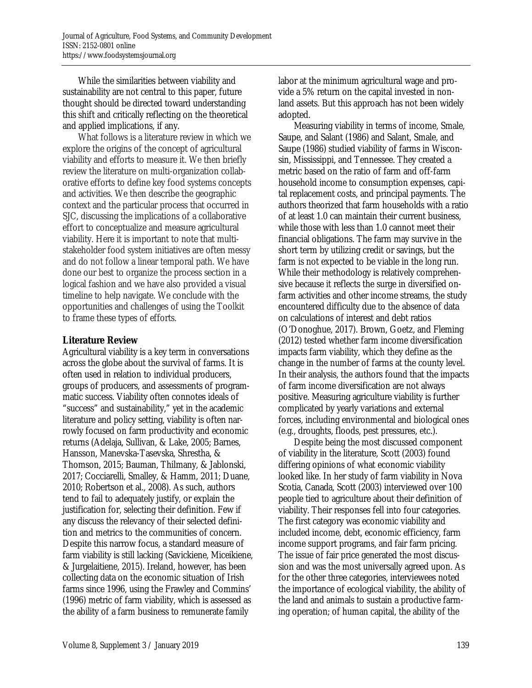While the similarities between viability and sustainability are not central to this paper, future thought should be directed toward understanding this shift and critically reflecting on the theoretical and applied implications, if any.

 What follows is a literature review in which we explore the origins of the concept of agricultural viability and efforts to measure it. We then briefly review the literature on multi-organization collaborative efforts to define key food systems concepts and activities. We then describe the geographic context and the particular process that occurred in SJC, discussing the implications of a collaborative effort to conceptualize and measure agricultural viability. Here it is important to note that multistakeholder food system initiatives are often messy and do not follow a linear temporal path. We have done our best to organize the process section in a logical fashion and we have also provided a visual timeline to help navigate. We conclude with the opportunities and challenges of using the Toolkit to frame these types of efforts.

### **Literature Review**

Agricultural viability is a key term in conversations across the globe about the survival of farms. It is often used in relation to individual producers, groups of producers, and assessments of programmatic success. Viability often connotes ideals of "success" and sustainability," yet in the academic literature and policy setting, viability is often narrowly focused on farm productivity and economic returns (Adelaja, Sullivan, & Lake, 2005; Barnes, Hansson, Manevska-Tasevska, Shrestha, & Thomson, 2015; Bauman, Thilmany, & Jablonski, 2017; Cocciarelli, Smalley, & Hamm, 2011; Duane, 2010; Robertson et al., 2008). As such, authors tend to fail to adequately justify, or explain the justification for, selecting their definition. Few if any discuss the relevancy of their selected definition and metrics to the communities of concern. Despite this narrow focus, a standard measure of farm viability is still lacking (Savickiene, Miceikiene, & Jurgelaitiene, 2015). Ireland, however, has been collecting data on the economic situation of Irish farms since 1996, using the Frawley and Commins' (1996) metric of farm viability, which is assessed as the ability of a farm business to remunerate family

labor at the minimum agricultural wage and provide a 5% return on the capital invested in nonland assets. But this approach has not been widely adopted.

 Measuring viability in terms of income, Smale, Saupe, and Salant (1986) and Salant, Smale, and Saupe (1986) studied viability of farms in Wisconsin, Mississippi, and Tennessee. They created a metric based on the ratio of farm and off-farm household income to consumption expenses, capital replacement costs, and principal payments. The authors theorized that farm households with a ratio of at least 1.0 can maintain their current business, while those with less than 1.0 cannot meet their financial obligations. The farm may survive in the short term by utilizing credit or savings, but the farm is not expected to be viable in the long run. While their methodology is relatively comprehensive because it reflects the surge in diversified onfarm activities and other income streams, the study encountered difficulty due to the absence of data on calculations of interest and debt ratios (O'Donoghue, 2017). Brown, Goetz, and Fleming (2012) tested whether farm income diversification impacts farm viability, which they define as the change in the number of farms at the county level. In their analysis, the authors found that the impacts of farm income diversification are not always positive. Measuring agriculture viability is further complicated by yearly variations and external forces, including environmental and biological ones (e.g., droughts, floods, pest pressures, etc.).

 Despite being the most discussed component of viability in the literature, Scott (2003) found differing opinions of what economic viability looked like. In her study of farm viability in Nova Scotia, Canada, Scott (2003) interviewed over 100 people tied to agriculture about their definition of viability. Their responses fell into four categories. The first category was economic viability and included income, debt, economic efficiency, farm income support programs, and fair farm pricing. The issue of fair price generated the most discussion and was the most universally agreed upon. As for the other three categories, interviewees noted the importance of ecological viability, the ability of the land and animals to sustain a productive farming operation; of human capital, the ability of the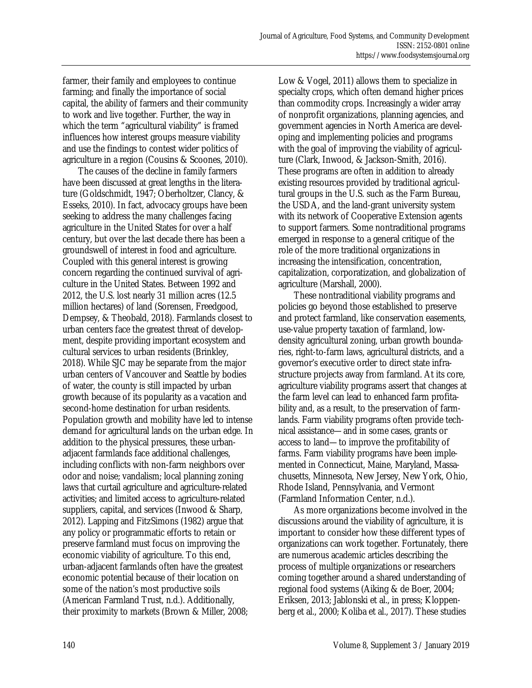farmer, their family and employees to continue farming; and finally the importance of social capital, the ability of farmers and their community to work and live together. Further, the way in which the term "agricultural viability" is framed influences how interest groups measure viability and use the findings to contest wider politics of agriculture in a region (Cousins & Scoones, 2010).

 The causes of the decline in family farmers have been discussed at great lengths in the literature (Goldschmidt, 1947; Oberholtzer, Clancy, & Esseks, 2010). In fact, advocacy groups have been seeking to address the many challenges facing agriculture in the United States for over a half century, but over the last decade there has been a groundswell of interest in food and agriculture. Coupled with this general interest is growing concern regarding the continued survival of agriculture in the United States. Between 1992 and 2012, the U.S. lost nearly 31 million acres (12.5 million hectares) of land (Sorensen, Freedgood, Dempsey, & Theobald, 2018). Farmlands closest to urban centers face the greatest threat of development, despite providing important ecosystem and cultural services to urban residents (Brinkley, 2018). While SJC may be separate from the major urban centers of Vancouver and Seattle by bodies of water, the county is still impacted by urban growth because of its popularity as a vacation and second-home destination for urban residents. Population growth and mobility have led to intense demand for agricultural lands on the urban edge. In addition to the physical pressures, these urbanadjacent farmlands face additional challenges, including conflicts with non-farm neighbors over odor and noise; vandalism; local planning zoning laws that curtail agriculture and agriculture-related activities; and limited access to agriculture-related suppliers, capital, and services (Inwood & Sharp, 2012). Lapping and FitzSimons (1982) argue that any policy or programmatic efforts to retain or preserve farmland must focus on improving the economic viability of agriculture. To this end, urban-adjacent farmlands often have the greatest economic potential because of their location on some of the nation's most productive soils (American Farmland Trust, n.d.). Additionally, their proximity to markets (Brown & Miller, 2008;

Low & Vogel, 2011) allows them to specialize in specialty crops, which often demand higher prices than commodity crops. Increasingly a wider array of nonprofit organizations, planning agencies, and government agencies in North America are developing and implementing policies and programs with the goal of improving the viability of agriculture (Clark, Inwood, & Jackson-Smith, 2016). These programs are often in addition to already existing resources provided by traditional agricultural groups in the U.S. such as the Farm Bureau, the USDA, and the land-grant university system with its network of Cooperative Extension agents to support farmers. Some nontraditional programs emerged in response to a general critique of the role of the more traditional organizations in increasing the intensification, concentration, capitalization, corporatization, and globalization of agriculture (Marshall, 2000).

 These nontraditional viability programs and policies go beyond those established to preserve and protect farmland, like conservation easements, use-value property taxation of farmland, lowdensity agricultural zoning, urban growth boundaries, right-to-farm laws, agricultural districts, and a governor's executive order to direct state infrastructure projects away from farmland. At its core, agriculture viability programs assert that changes at the farm level can lead to enhanced farm profitability and, as a result, to the preservation of farmlands. Farm viability programs often provide technical assistance—and in some cases, grants or access to land—to improve the profitability of farms. Farm viability programs have been implemented in Connecticut, Maine, Maryland, Massachusetts, Minnesota, New Jersey, New York, Ohio, Rhode Island, Pennsylvania, and Vermont (Farmland Information Center, n.d.).

 As more organizations become involved in the discussions around the viability of agriculture, it is important to consider how these different types of organizations can work together. Fortunately, there are numerous academic articles describing the process of multiple organizations or researchers coming together around a shared understanding of regional food systems (Aiking & de Boer, 2004; Eriksen, 2013; Jablonski et al., in press; Kloppenberg et al., 2000; Koliba et al., 2017). These studies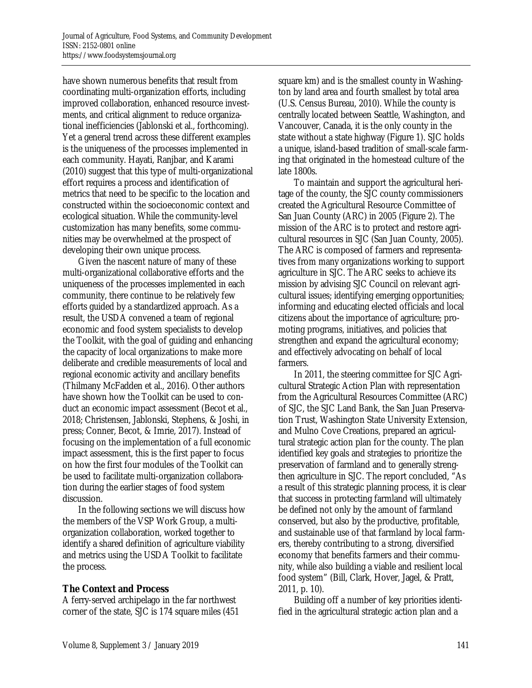have shown numerous benefits that result from coordinating multi-organization efforts, including improved collaboration, enhanced resource investments, and critical alignment to reduce organizational inefficiencies (Jablonski et al., forthcoming). Yet a general trend across these different examples is the uniqueness of the processes implemented in each community. Hayati, Ranjbar, and Karami (2010) suggest that this type of multi-organizational effort requires a process and identification of metrics that need to be specific to the location and constructed within the socioeconomic context and ecological situation. While the community-level customization has many benefits, some communities may be overwhelmed at the prospect of developing their own unique process.

 Given the nascent nature of many of these multi-organizational collaborative efforts and the uniqueness of the processes implemented in each community, there continue to be relatively few efforts guided by a standardized approach. As a result, the USDA convened a team of regional economic and food system specialists to develop the Toolkit, with the goal of guiding and enhancing the capacity of local organizations to make more deliberate and credible measurements of local and regional economic activity and ancillary benefits (Thilmany McFadden et al., 2016). Other authors have shown how the Toolkit can be used to conduct an economic impact assessment (Becot et al., 2018; Christensen, Jablonski, Stephens, & Joshi, in press; Conner, Becot, & Imrie, 2017). Instead of focusing on the implementation of a full economic impact assessment, this is the first paper to focus on how the first four modules of the Toolkit can be used to facilitate multi-organization collaboration during the earlier stages of food system discussion.

 In the following sections we will discuss how the members of the VSP Work Group, a multiorganization collaboration, worked together to identify a shared definition of agriculture viability and metrics using the USDA Toolkit to facilitate the process.

### **The Context and Process**

A ferry-served archipelago in the far northwest corner of the state, SJC is 174 square miles (451 square km) and is the smallest county in Washington by land area and fourth smallest by total area (U.S. Census Bureau, 2010). While the county is centrally located between Seattle, Washington, and Vancouver, Canada, it is the only county in the state without a state highway (Figure 1). SJC holds a unique, island-based tradition of small-scale farming that originated in the homestead culture of the late 1800s.

 To maintain and support the agricultural heritage of the county, the SJC county commissioners created the Agricultural Resource Committee of San Juan County (ARC) in 2005 (Figure 2). The mission of the ARC is to protect and restore agricultural resources in SJC (San Juan County, 2005). The ARC is composed of farmers and representatives from many organizations working to support agriculture in SJC. The ARC seeks to achieve its mission by advising SJC Council on relevant agricultural issues; identifying emerging opportunities; informing and educating elected officials and local citizens about the importance of agriculture; promoting programs, initiatives, and policies that strengthen and expand the agricultural economy; and effectively advocating on behalf of local farmers.

 In 2011, the steering committee for SJC Agricultural Strategic Action Plan with representation from the Agricultural Resources Committee (ARC) of SJC, the SJC Land Bank, the San Juan Preservation Trust, Washington State University Extension, and Mulno Cove Creations, prepared an agricultural strategic action plan for the county. The plan identified key goals and strategies to prioritize the preservation of farmland and to generally strengthen agriculture in SJC. The report concluded, "As a result of this strategic planning process, it is clear that success in protecting farmland will ultimately be defined not only by the amount of farmland conserved, but also by the productive, profitable, and sustainable use of that farmland by local farmers, thereby contributing to a strong, diversified economy that benefits farmers and their community, while also building a viable and resilient local food system" (Bill, Clark, Hover, Jagel, & Pratt, 2011, p. 10).

 Building off a number of key priorities identified in the agricultural strategic action plan and a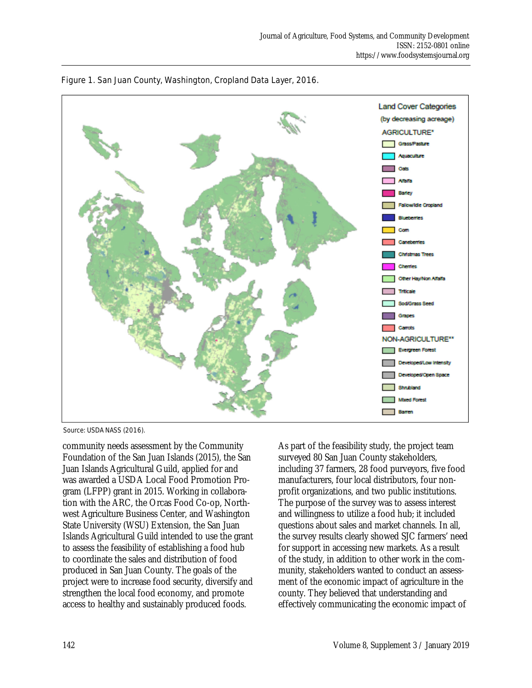



Source: USDA NASS (2016).

community needs assessment by the Community Foundation of the San Juan Islands (2015), the San Juan Islands Agricultural Guild, applied for and was awarded a USDA Local Food Promotion Program (LFPP) grant in 2015. Working in collaboration with the ARC, the Orcas Food Co-op, Northwest Agriculture Business Center, and Washington State University (WSU) Extension, the San Juan Islands Agricultural Guild intended to use the grant to assess the feasibility of establishing a food hub to coordinate the sales and distribution of food produced in San Juan County. The goals of the project were to increase food security, diversify and strengthen the local food economy, and promote access to healthy and sustainably produced foods.

As part of the feasibility study, the project team surveyed 80 San Juan County stakeholders, including 37 farmers, 28 food purveyors, five food manufacturers, four local distributors, four nonprofit organizations, and two public institutions. The purpose of the survey was to assess interest and willingness to utilize a food hub; it included questions about sales and market channels. In all, the survey results clearly showed SJC farmers' need for support in accessing new markets. As a result of the study, in addition to other work in the community, stakeholders wanted to conduct an assessment of the economic impact of agriculture in the county. They believed that understanding and effectively communicating the economic impact of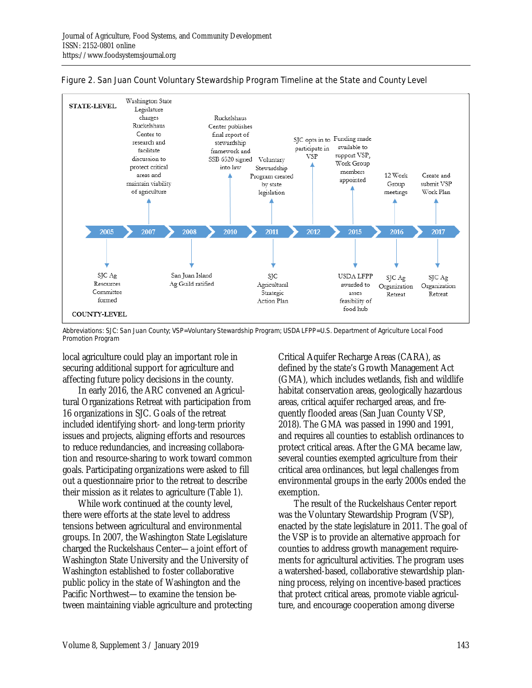

Figure 2. San Juan Count Voluntary Stewardship Program Timeline at the State and County Level

Abbreviations: SJC: San Juan County; VSP=Voluntary Stewardship Program; USDA LFPP=U.S. Department of Agriculture Local Food Promotion Program

local agriculture could play an important role in securing additional support for agriculture and affecting future policy decisions in the county.

 In early 2016, the ARC convened an Agricultural Organizations Retreat with participation from 16 organizations in SJC. Goals of the retreat included identifying short- and long-term priority issues and projects, aligning efforts and resources to reduce redundancies, and increasing collaboration and resource-sharing to work toward common goals. Participating organizations were asked to fill out a questionnaire prior to the retreat to describe their mission as it relates to agriculture (Table 1).

 While work continued at the county level, there were efforts at the state level to address tensions between agricultural and environmental groups. In 2007, the Washington State Legislature charged the Ruckelshaus Center—a joint effort of Washington State University and the University of Washington established to foster collaborative public policy in the state of Washington and the Pacific Northwest—to examine the tension between maintaining viable agriculture and protecting Critical Aquifer Recharge Areas (CARA), as defined by the state's Growth Management Act (GMA), which includes wetlands, fish and wildlife habitat conservation areas, geologically hazardous areas, critical aquifer recharged areas, and frequently flooded areas (San Juan County VSP, 2018). The GMA was passed in 1990 and 1991, and requires all counties to establish ordinances to protect critical areas. After the GMA became law, several counties exempted agriculture from their critical area ordinances, but legal challenges from environmental groups in the early 2000s ended the exemption.

 The result of the Ruckelshaus Center report was the Voluntary Stewardship Program (VSP), enacted by the state legislature in 2011. The goal of the VSP is to provide an alternative approach for counties to address growth management requirements for agricultural activities. The program uses a watershed-based, collaborative stewardship planning process, relying on incentive-based practices that protect critical areas, promote viable agriculture, and encourage cooperation among diverse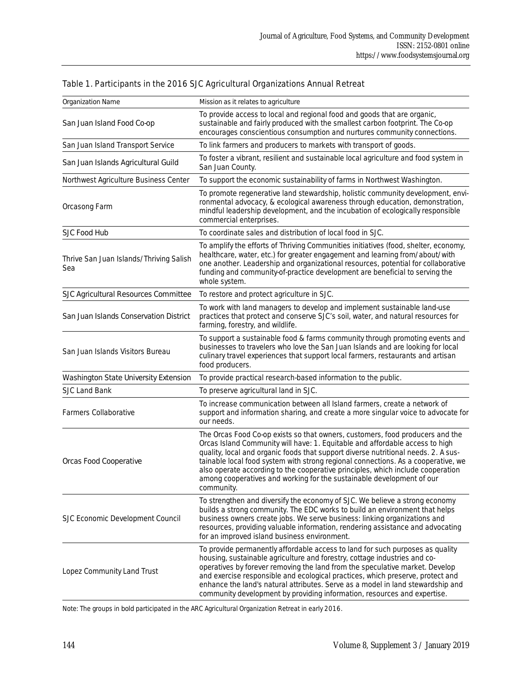| Organization Name                              | Mission as it relates to agriculture                                                                                                                                                                                                                                                                                                                                                                                                                                                                               |  |  |
|------------------------------------------------|--------------------------------------------------------------------------------------------------------------------------------------------------------------------------------------------------------------------------------------------------------------------------------------------------------------------------------------------------------------------------------------------------------------------------------------------------------------------------------------------------------------------|--|--|
| San Juan Island Food Co-op                     | To provide access to local and regional food and goods that are organic,<br>sustainable and fairly produced with the smallest carbon footprint. The Co-op<br>encourages conscientious consumption and nurtures community connections.                                                                                                                                                                                                                                                                              |  |  |
| San Juan Island Transport Service              | To link farmers and producers to markets with transport of goods.                                                                                                                                                                                                                                                                                                                                                                                                                                                  |  |  |
| San Juan Islands Agricultural Guild            | To foster a vibrant, resilient and sustainable local agriculture and food system in<br>San Juan County.                                                                                                                                                                                                                                                                                                                                                                                                            |  |  |
| Northwest Agriculture Business Center          | To support the economic sustainability of farms in Northwest Washington.                                                                                                                                                                                                                                                                                                                                                                                                                                           |  |  |
| Orcasong Farm                                  | To promote regenerative land stewardship, holistic community development, envi-<br>ronmental advocacy, & ecological awareness through education, demonstration,<br>mindful leadership development, and the incubation of ecologically responsible<br>commercial enterprises.                                                                                                                                                                                                                                       |  |  |
| SJC Food Hub                                   | To coordinate sales and distribution of local food in SJC.                                                                                                                                                                                                                                                                                                                                                                                                                                                         |  |  |
| Thrive San Juan Islands/Thriving Salish<br>Sea | To amplify the efforts of Thriving Communities initiatives (food, shelter, economy,<br>healthcare, water, etc.) for greater engagement and learning from/about/with<br>one another. Leadership and organizational resources, potential for collaborative<br>funding and community-of-practice development are beneficial to serving the<br>whole system.                                                                                                                                                           |  |  |
| SJC Agricultural Resources Committee           | To restore and protect agriculture in SJC.                                                                                                                                                                                                                                                                                                                                                                                                                                                                         |  |  |
| San Juan Islands Conservation District         | To work with land managers to develop and implement sustainable land-use<br>practices that protect and conserve SJC's soil, water, and natural resources for<br>farming, forestry, and wildlife.                                                                                                                                                                                                                                                                                                                   |  |  |
| San Juan Islands Visitors Bureau               | To support a sustainable food & farms community through promoting events and<br>businesses to travelers who love the San Juan Islands and are looking for local<br>culinary travel experiences that support local farmers, restaurants and artisan<br>food producers.                                                                                                                                                                                                                                              |  |  |
| Washington State University Extension          | To provide practical research-based information to the public.                                                                                                                                                                                                                                                                                                                                                                                                                                                     |  |  |
| SJC Land Bank                                  | To preserve agricultural land in SJC.                                                                                                                                                                                                                                                                                                                                                                                                                                                                              |  |  |
| <b>Farmers Collaborative</b>                   | To increase communication between all Island farmers, create a network of<br>support and information sharing, and create a more singular voice to advocate for<br>our needs.                                                                                                                                                                                                                                                                                                                                       |  |  |
| Orcas Food Cooperative                         | The Orcas Food Co-op exists so that owners, customers, food producers and the<br>Orcas Island Community will have: 1. Equitable and affordable access to high<br>quality, local and organic foods that support diverse nutritional needs. 2. A sus-<br>tainable local food system with strong regional connections. As a cooperative, we<br>also operate according to the cooperative principles, which include cooperation<br>among cooperatives and working for the sustainable development of our<br>community. |  |  |
| SJC Economic Development Council               | To strengthen and diversify the economy of SJC. We believe a strong economy<br>builds a strong community. The EDC works to build an environment that helps<br>business owners create jobs. We serve business: linking organizations and<br>resources, providing valuable information, rendering assistance and advocating<br>for an improved island business environment.                                                                                                                                          |  |  |
| Lopez Community Land Trust                     | To provide permanently affordable access to land for such purposes as quality<br>housing, sustainable agriculture and forestry, cottage industries and co-<br>operatives by forever removing the land from the speculative market. Develop<br>and exercise responsible and ecological practices, which preserve, protect and<br>enhance the land's natural attributes. Serve as a model in land stewardship and<br>community development by providing information, resources and expertise.                        |  |  |

# Table 1. Participants in the 2016 SJC Agricultural Organizations Annual Retreat

Note: The groups in bold participated in the ARC Agricultural Organization Retreat in early 2016.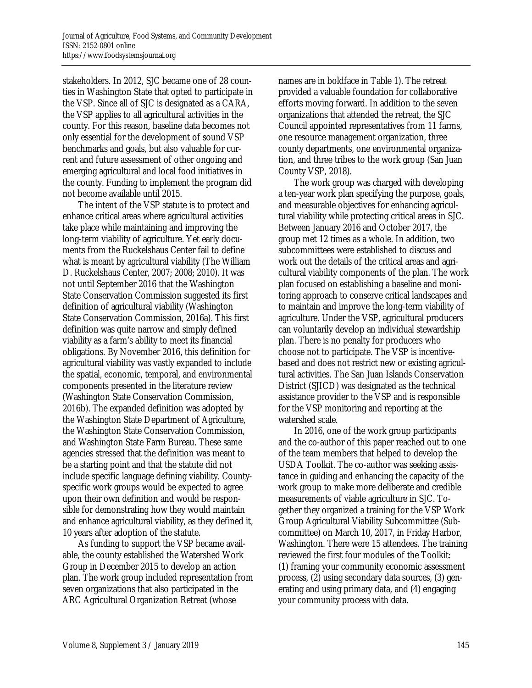stakeholders. In 2012, SJC became one of 28 counties in Washington State that opted to participate in the VSP. Since all of SJC is designated as a CARA, the VSP applies to all agricultural activities in the county. For this reason, baseline data becomes not only essential for the development of sound VSP benchmarks and goals, but also valuable for current and future assessment of other ongoing and emerging agricultural and local food initiatives in the county. Funding to implement the program did not become available until 2015.

 The intent of the VSP statute is to protect and enhance critical areas where agricultural activities take place while maintaining and improving the long-term viability of agriculture. Yet early documents from the Ruckelshaus Center fail to define what is meant by agricultural viability (The William D. Ruckelshaus Center, 2007; 2008; 2010). It was not until September 2016 that the Washington State Conservation Commission suggested its first definition of agricultural viability (Washington State Conservation Commission, 2016a). This first definition was quite narrow and simply defined viability as a farm's ability to meet its financial obligations. By November 2016, this definition for agricultural viability was vastly expanded to include the spatial, economic, temporal, and environmental components presented in the literature review (Washington State Conservation Commission, 2016b). The expanded definition was adopted by the Washington State Department of Agriculture, the Washington State Conservation Commission, and Washington State Farm Bureau. These same agencies stressed that the definition was meant to be a starting point and that the statute did not include specific language defining viability. Countyspecific work groups would be expected to agree upon their own definition and would be responsible for demonstrating how they would maintain and enhance agricultural viability, as they defined it, 10 years after adoption of the statute.

 As funding to support the VSP became available, the county established the Watershed Work Group in December 2015 to develop an action plan. The work group included representation from seven organizations that also participated in the ARC Agricultural Organization Retreat (whose

names are in boldface in Table 1). The retreat provided a valuable foundation for collaborative efforts moving forward. In addition to the seven organizations that attended the retreat, the SJC Council appointed representatives from 11 farms, one resource management organization, three county departments, one environmental organization, and three tribes to the work group (San Juan County VSP, 2018).

 The work group was charged with developing a ten-year work plan specifying the purpose, goals, and measurable objectives for enhancing agricultural viability while protecting critical areas in SJC. Between January 2016 and October 2017, the group met 12 times as a whole. In addition, two subcommittees were established to discuss and work out the details of the critical areas and agricultural viability components of the plan. The work plan focused on establishing a baseline and monitoring approach to conserve critical landscapes and to maintain and improve the long-term viability of agriculture. Under the VSP, agricultural producers can voluntarily develop an individual stewardship plan. There is no penalty for producers who choose not to participate. The VSP is incentivebased and does not restrict new or existing agricultural activities. The San Juan Islands Conservation District (SJICD) was designated as the technical assistance provider to the VSP and is responsible for the VSP monitoring and reporting at the watershed scale.

 In 2016, one of the work group participants and the co-author of this paper reached out to one of the team members that helped to develop the USDA Toolkit. The co-author was seeking assistance in guiding and enhancing the capacity of the work group to make more deliberate and credible measurements of viable agriculture in SJC. Together they organized a training for the VSP Work Group Agricultural Viability Subcommittee (Subcommittee) on March 10, 2017, in Friday Harbor, Washington. There were 15 attendees. The training reviewed the first four modules of the Toolkit: (1) framing your community economic assessment process, (2) using secondary data sources, (3) generating and using primary data, and (4) engaging your community process with data.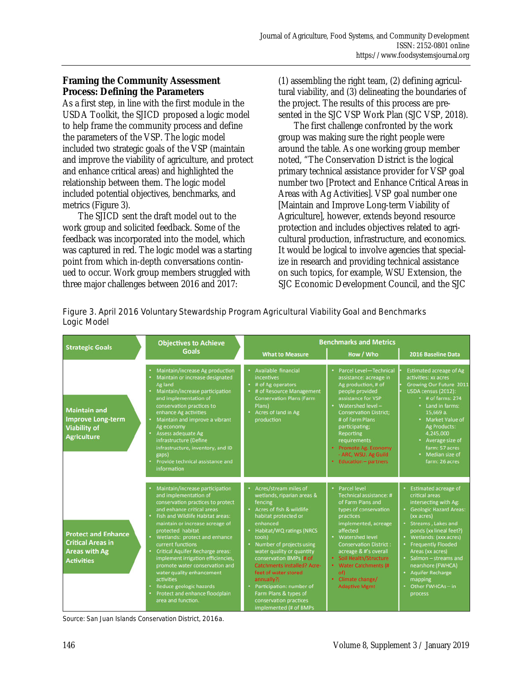### **Framing the Community Assessment Process: Defining the Parameters**

As a first step, in line with the first module in the USDA Toolkit, the SJICD proposed a logic model to help frame the community process and define the parameters of the VSP. The logic model included two strategic goals of the VSP (maintain and improve the viability of agriculture, and protect and enhance critical areas) and highlighted the relationship between them. The logic model included potential objectives, benchmarks, and metrics (Figure 3).

 The SJICD sent the draft model out to the work group and solicited feedback. Some of the feedback was incorporated into the model, which was captured in red. The logic model was a starting point from which in-depth conversations continued to occur. Work group members struggled with three major challenges between 2016 and 2017:

(1) assembling the right team, (2) defining agricultural viability, and (3) delineating the boundaries of the project. The results of this process are presented in the SJC VSP Work Plan (SJC VSP, 2018).

 The first challenge confronted by the work group was making sure the right people were around the table. As one working group member noted, "The Conservation District is the logical primary technical assistance provider for VSP goal number two [Protect and Enhance Critical Areas in Areas with Ag Activities]. VSP goal number one [Maintain and Improve Long-term Viability of Agriculture], however, extends beyond resource protection and includes objectives related to agricultural production, infrastructure, and economics. It would be logical to involve agencies that specialize in research and providing technical assistance on such topics, for example, WSU Extension, the SJC Economic Development Council, and the SJC

| Figure 3. April 2016 Voluntary Stewardship Program Agricultural Viability Goal and Benchmarks |  |
|-----------------------------------------------------------------------------------------------|--|
| Logic Model                                                                                   |  |

|                                                                                                     | <b>Objectives to Achieve</b>                                                                                                                                                                                                                                                                                                                                                                                                                                                                                                          | <b>Benchmarks and Metrics</b>                                                                                                                                                                                                                                                                                                                                                                                                                                 |                                                                                                                                                                                                                                                                                                                                                 |                                                                                                                                                                                                                                                                                                                                                                                                |
|-----------------------------------------------------------------------------------------------------|---------------------------------------------------------------------------------------------------------------------------------------------------------------------------------------------------------------------------------------------------------------------------------------------------------------------------------------------------------------------------------------------------------------------------------------------------------------------------------------------------------------------------------------|---------------------------------------------------------------------------------------------------------------------------------------------------------------------------------------------------------------------------------------------------------------------------------------------------------------------------------------------------------------------------------------------------------------------------------------------------------------|-------------------------------------------------------------------------------------------------------------------------------------------------------------------------------------------------------------------------------------------------------------------------------------------------------------------------------------------------|------------------------------------------------------------------------------------------------------------------------------------------------------------------------------------------------------------------------------------------------------------------------------------------------------------------------------------------------------------------------------------------------|
| <b>Strategic Goals</b>                                                                              | <b>Goals</b>                                                                                                                                                                                                                                                                                                                                                                                                                                                                                                                          | <b>What to Measure</b>                                                                                                                                                                                                                                                                                                                                                                                                                                        | How / Who                                                                                                                                                                                                                                                                                                                                       | 2016 Baseline Data                                                                                                                                                                                                                                                                                                                                                                             |
| <b>Maintain and</b><br><b>Improve Long-term</b><br><b>Viability of</b><br><b>Agriculture</b>        | <b>Maintain/increase Ag production</b><br>Maintain or increase designated<br>Ag land<br>Maintain/increase participation<br>and implementation of<br>conservation practices to<br>enhance Ag activities<br>Maintain and improve a vibrant<br>Ag economy<br>Assess adequate Ag<br>infrastructure (Define<br>infrastructure, inventory, and ID<br>gaps)<br>Provide technical assistance and<br><b>information</b>                                                                                                                        | Available financial<br><i>incentives</i><br># of Ag operators<br>٠<br># of Resource Management<br><b>Conservation Plans (Farm</b><br>Plans)<br>Acres of land in Ag<br>٠<br>production                                                                                                                                                                                                                                                                         | <b>Parcel Level-Technical</b><br>assistance: acreage in<br>Ag production, # of<br>people provided<br>assistance for VSP<br>Watershed level-<br><b>Conservation District;</b><br># of Farm Plans<br>participating;<br><b>Reporting</b><br>requirements<br>Promote Ag. Economy<br>- ARC, WSU. Ag Guild<br>Education - partners                    | <b>Estimated acreage of Ag</b><br>activities: xx acres<br><b>Growing Our Future 2011</b><br>USDA census (2012):<br>$\cdot$ # of farms: 274<br>• Land in farms:<br>15,669 a.<br><b>Market Value of</b><br><b>Ag Products:</b><br>4,245,000<br>• Average size of<br>farm: 57 acres<br>Median size of<br>farm: 26 acres                                                                           |
| <b>Protect and Enhance</b><br><b>Critical Areas in</b><br><b>Areas with Ag</b><br><b>Activities</b> | Maintain/increase participation<br>and implementation of<br>conservation practices to protect<br>and enhance critical areas<br><b>Fish and Wildlife Habitat areas:</b><br>maintain or increase acreage of<br>protected habitat<br>Wetlands: protect and enhance<br>current functions<br><b>Critical Aquifer Recharge areas:</b><br>implement irrigation efficiencies,<br>promote water conservation and<br>water quality enhancement<br>activities<br>Reduce geologic hazards<br>Protect and enhance floodplain<br>area and function. | Acres/stream miles of<br>wetlands, riparian areas &<br>fencing<br>Acres of fish & wildlife<br>٠<br>habitat protected or<br>enhanced<br>Habitat/WQ ratings (NRCS<br>٠<br>tools)<br>Number of projects using<br>٠<br>water quality or quantity<br>conservation BMPs (# of<br><b>Catchments installed? Acre-</b><br>feet of water stored<br>annually?)<br>Participation: number of<br>Farm Plans & types of<br>conservation practices<br>implemented (# of BMPs) | <b>Parcel level</b><br>Technical assistance: #<br>of Farm Plans and<br>types of conservation<br>practices<br>implemented, acreage<br>affected<br><b>Watershed level</b><br><b>Conservation District:</b><br>acreage & #'s overall<br>Soil Health/Structure<br><b>Water Catchments (#</b><br>۰<br>of)<br>Climate change/<br><b>Adaptive Mgmt</b> | <b>Estimated acreage of</b><br>critical areas<br>intersecting with Ag:<br><b>Geologic Hazard Areas:</b><br>٠<br>(xx acres)<br>Streams, Lakes and<br>٠<br>ponds (xx lineal feet?)<br>Wetlands: (xxx acres)<br>٠<br><b>Frequently Flooded</b><br>Areas (xx acres)<br>· Salmon - streams and<br>nearshore (FWHCA)<br><b>Aquifer Recharge</b><br>٠<br>mapping<br>Other FWHCAs - in<br>٠<br>process |

Source: San Juan Islands Conservation District, 2016a.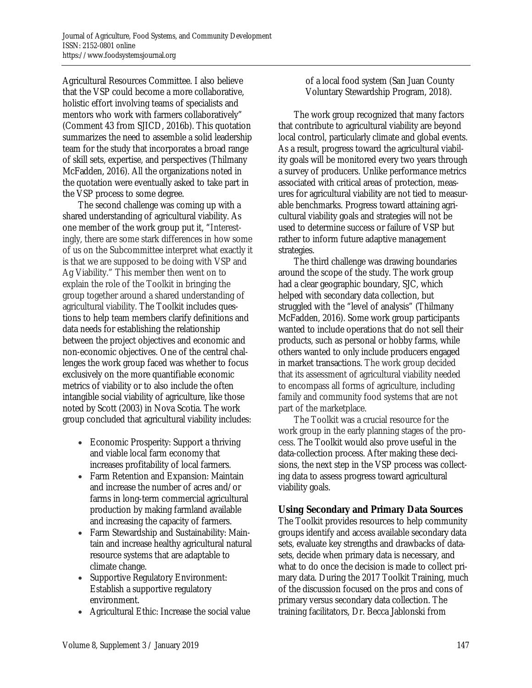Agricultural Resources Committee. I also believe that the VSP could become a more collaborative, holistic effort involving teams of specialists and mentors who work with farmers collaboratively" (Comment 43 from SJICD, 2016b). This quotation summarizes the need to assemble a solid leadership team for the study that incorporates a broad range of skill sets, expertise, and perspectives (Thilmany McFadden, 2016). All the organizations noted in the quotation were eventually asked to take part in the VSP process to some degree.

 The second challenge was coming up with a shared understanding of agricultural viability. As one member of the work group put it, "Interestingly, there are some stark differences in how some of us on the Subcommittee interpret what exactly it is that we are supposed to be doing with VSP and Ag Viability." This member then went on to explain the role of the Toolkit in bringing the group together around a shared understanding of agricultural viability. The Toolkit includes questions to help team members clarify definitions and data needs for establishing the relationship between the project objectives and economic and non-economic objectives. One of the central challenges the work group faced was whether to focus exclusively on the more quantifiable economic metrics of viability or to also include the often intangible social viability of agriculture, like those noted by Scott (2003) in Nova Scotia. The work group concluded that agricultural viability includes:

- Economic Prosperity: Support a thriving and viable local farm economy that increases profitability of local farmers.
- Farm Retention and Expansion: Maintain and increase the number of acres and/or farms in long-term commercial agricultural production by making farmland available and increasing the capacity of farmers.
- Farm Stewardship and Sustainability: Maintain and increase healthy agricultural natural resource systems that are adaptable to climate change.
- Supportive Regulatory Environment: Establish a supportive regulatory environment.
- Agricultural Ethic: Increase the social value

of a local food system (San Juan County Voluntary Stewardship Program, 2018).

 The work group recognized that many factors that contribute to agricultural viability are beyond local control, particularly climate and global events. As a result, progress toward the agricultural viability goals will be monitored every two years through a survey of producers. Unlike performance metrics associated with critical areas of protection, measures for agricultural viability are not tied to measurable benchmarks. Progress toward attaining agricultural viability goals and strategies will not be used to determine success or failure of VSP but rather to inform future adaptive management strategies.

 The third challenge was drawing boundaries around the scope of the study. The work group had a clear geographic boundary, SJC, which helped with secondary data collection, but struggled with the "level of analysis" (Thilmany McFadden, 2016). Some work group participants wanted to include operations that do not sell their products, such as personal or hobby farms, while others wanted to only include producers engaged in market transactions. The work group decided that its assessment of agricultural viability needed to encompass all forms of agriculture, including family and community food systems that are not part of the marketplace.

 The Toolkit was a crucial resource for the work group in the early planning stages of the process. The Toolkit would also prove useful in the data-collection process. After making these decisions, the next step in the VSP process was collecting data to assess progress toward agricultural viability goals.

### **Using Secondary and Primary Data Sources**

The Toolkit provides resources to help community groups identify and access available secondary data sets, evaluate key strengths and drawbacks of datasets, decide when primary data is necessary, and what to do once the decision is made to collect primary data. During the 2017 Toolkit Training, much of the discussion focused on the pros and cons of primary versus secondary data collection. The training facilitators, Dr. Becca Jablonski from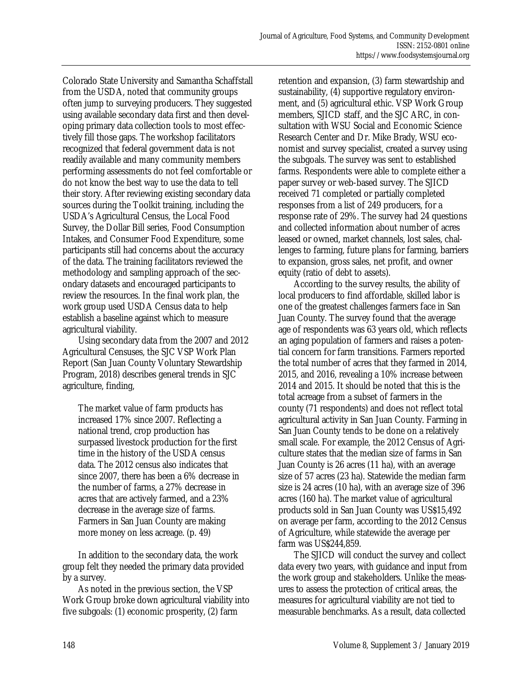Colorado State University and Samantha Schaffstall from the USDA, noted that community groups often jump to surveying producers. They suggested using available secondary data first and then developing primary data collection tools to most effectively fill those gaps. The workshop facilitators recognized that federal government data is not readily available and many community members performing assessments do not feel comfortable or do not know the best way to use the data to tell their story. After reviewing existing secondary data sources during the Toolkit training, including the USDA's Agricultural Census, the Local Food Survey, the Dollar Bill series, Food Consumption Intakes, and Consumer Food Expenditure, some participants still had concerns about the accuracy of the data. The training facilitators reviewed the methodology and sampling approach of the secondary datasets and encouraged participants to review the resources. In the final work plan, the work group used USDA Census data to help establish a baseline against which to measure agricultural viability.

 Using secondary data from the 2007 and 2012 Agricultural Censuses, the SJC VSP Work Plan Report (San Juan County Voluntary Stewardship Program, 2018) describes general trends in SJC agriculture, finding,

The market value of farm products has increased 17% since 2007. Reflecting a national trend, crop production has surpassed livestock production for the first time in the history of the USDA census data. The 2012 census also indicates that since 2007, there has been a 6% decrease in the number of farms, a 27% decrease in acres that are actively farmed, and a 23% decrease in the average size of farms. Farmers in San Juan County are making more money on less acreage. (p. 49)

 In addition to the secondary data, the work group felt they needed the primary data provided by a survey.

 As noted in the previous section, the VSP Work Group broke down agricultural viability into five subgoals: (1) economic prosperity, (2) farm

retention and expansion, (3) farm stewardship and sustainability, (4) supportive regulatory environment, and (5) agricultural ethic. VSP Work Group members, SJICD staff, and the SJC ARC, in consultation with WSU Social and Economic Science Research Center and Dr. Mike Brady, WSU economist and survey specialist, created a survey using the subgoals. The survey was sent to established farms. Respondents were able to complete either a paper survey or web-based survey. The SJICD received 71 completed or partially completed responses from a list of 249 producers, for a response rate of 29%. The survey had 24 questions and collected information about number of acres leased or owned, market channels, lost sales, challenges to farming, future plans for farming, barriers to expansion, gross sales, net profit, and owner equity (ratio of debt to assets).

 According to the survey results, the ability of local producers to find affordable, skilled labor is one of the greatest challenges farmers face in San Juan County. The survey found that the average age of respondents was 63 years old, which reflects an aging population of farmers and raises a potential concern for farm transitions. Farmers reported the total number of acres that they farmed in 2014, 2015, and 2016, revealing a 10% increase between 2014 and 2015. It should be noted that this is the total acreage from a subset of farmers in the county (71 respondents) and does not reflect total agricultural activity in San Juan County. Farming in San Juan County tends to be done on a relatively small scale. For example, the 2012 Census of Agriculture states that the median size of farms in San Juan County is 26 acres (11 ha), with an average size of 57 acres (23 ha). Statewide the median farm size is 24 acres (10 ha), with an average size of 396 acres (160 ha). The market value of agricultural products sold in San Juan County was US\$15,492 on average per farm, according to the 2012 Census of Agriculture, while statewide the average per farm was US\$244,859.

 The SJICD will conduct the survey and collect data every two years, with guidance and input from the work group and stakeholders. Unlike the measures to assess the protection of critical areas, the measures for agricultural viability are not tied to measurable benchmarks. As a result, data collected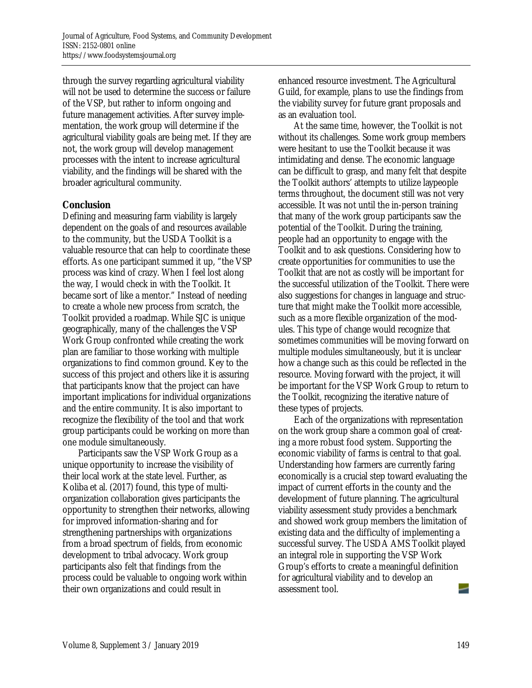through the survey regarding agricultural viability will not be used to determine the success or failure of the VSP, but rather to inform ongoing and future management activities. After survey implementation, the work group will determine if the agricultural viability goals are being met. If they are not, the work group will develop management processes with the intent to increase agricultural viability, and the findings will be shared with the broader agricultural community.

### **Conclusion**

Defining and measuring farm viability is largely dependent on the goals of and resources available to the community, but the USDA Toolkit is a valuable resource that can help to coordinate these efforts. As one participant summed it up, "the VSP process was kind of crazy. When I feel lost along the way, I would check in with the Toolkit. It became sort of like a mentor." Instead of needing to create a whole new process from scratch, the Toolkit provided a roadmap. While SJC is unique geographically, many of the challenges the VSP Work Group confronted while creating the work plan are familiar to those working with multiple organizations to find common ground. Key to the success of this project and others like it is assuring that participants know that the project can have important implications for individual organizations and the entire community. It is also important to recognize the flexibility of the tool and that work group participants could be working on more than one module simultaneously.

 Participants saw the VSP Work Group as a unique opportunity to increase the visibility of their local work at the state level. Further, as Koliba et al. (2017) found, this type of multiorganization collaboration gives participants the opportunity to strengthen their networks, allowing for improved information-sharing and for strengthening partnerships with organizations from a broad spectrum of fields, from economic development to tribal advocacy. Work group participants also felt that findings from the process could be valuable to ongoing work within their own organizations and could result in

enhanced resource investment. The Agricultural Guild, for example, plans to use the findings from the viability survey for future grant proposals and as an evaluation tool.

 At the same time, however, the Toolkit is not without its challenges. Some work group members were hesitant to use the Toolkit because it was intimidating and dense. The economic language can be difficult to grasp, and many felt that despite the Toolkit authors' attempts to utilize laypeople terms throughout, the document still was not very accessible. It was not until the in-person training that many of the work group participants saw the potential of the Toolkit. During the training, people had an opportunity to engage with the Toolkit and to ask questions. Considering how to create opportunities for communities to use the Toolkit that are not as costly will be important for the successful utilization of the Toolkit. There were also suggestions for changes in language and structure that might make the Toolkit more accessible, such as a more flexible organization of the modules. This type of change would recognize that sometimes communities will be moving forward on multiple modules simultaneously, but it is unclear how a change such as this could be reflected in the resource. Moving forward with the project, it will be important for the VSP Work Group to return to the Toolkit, recognizing the iterative nature of these types of projects.

 Each of the organizations with representation on the work group share a common goal of creating a more robust food system. Supporting the economic viability of farms is central to that goal. Understanding how farmers are currently faring economically is a crucial step toward evaluating the impact of current efforts in the county and the development of future planning. The agricultural viability assessment study provides a benchmark and showed work group members the limitation of existing data and the difficulty of implementing a successful survey. The USDA AMS Toolkit played an integral role in supporting the VSP Work Group's efforts to create a meaningful definition for agricultural viability and to develop an assessment tool.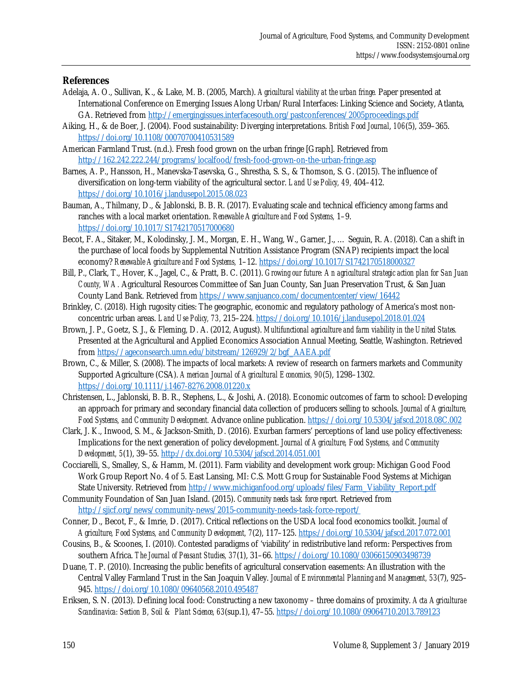#### **References**

- Adelaja, A. O., Sullivan, K., & Lake, M. B. (2005, March). *Agricultural viability at the urban fringe.* Paper presented at International Conference on Emerging Issues Along Urban/Rural Interfaces: Linking Science and Society, Atlanta, GA. Retrieved from http://emergingissues.interfacesouth.org/pastconferences/2005proceedings.pdf
- Aiking, H., & de Boer, J. (2004). Food sustainability: Diverging interpretations. *British Food Journal*, *106*(5), 359–365. https://doi.org/10.1108/00070700410531589
- American Farmland Trust. (n.d.). Fresh food grown on the urban fringe [Graph]. Retrieved from http://162.242.222.244/programs/localfood/fresh-food-grown-on-the-urban-fringe.asp
- Barnes, A. P., Hansson, H., Manevska-Tasevska, G., Shrestha, S. S., & Thomson, S. G. (2015). The influence of diversification on long-term viability of the agricultural sector. *Land Use Policy, 49,* 404–412. https://doi.org/10.1016/j.landusepol.2015.08.023
- Bauman, A., Thilmany, D., & Jablonski, B. B. R. (2017). Evaluating scale and technical efficiency among farms and ranches with a local market orientation. *Renewable Agriculture and Food Systems,* 1–9. https://doi.org/10.1017/S1742170517000680
- Becot, F. A., Sitaker, M., Kolodinsky, J. M., Morgan, E. H., Wang, W., Garner, J., … Seguin, R. A. (2018). Can a shift in the purchase of local foods by Supplemental Nutrition Assistance Program (SNAP) recipients impact the local economy? *Renewable Agriculture and Food Systems,* 1–12. https://doi.org/10.1017/S1742170518000327
- Bill, P., Clark, T., Hover, K., Jagel, C., & Pratt, B. C. (2011). *Growing our future: An agricultural strategic action plan for San Juan County, WA.* Agricultural Resources Committee of San Juan County, San Juan Preservation Trust, & San Juan County Land Bank. Retrieved from https://www.sanjuanco.com/documentcenter/view/16442
- Brinkley, C. (2018). High rugosity cities: The geographic, economic and regulatory pathology of America's most nonconcentric urban areas. *Land Use Policy, 73,* 215–224. https://doi.org/10.1016/j.landusepol.2018.01.024
- Brown, J. P., Goetz, S. J., & Fleming, D. A. (2012, August). *Multifunctional agriculture and farm viability in the United States.* Presented at the Agricultural and Applied Economics Association Annual Meeting, Seattle, Washington. Retrieved from https://ageconsearch.umn.edu/bitstream/126929/2/bgf\_AAEA.pdf
- Brown, C., & Miller, S. (2008). The impacts of local markets: A review of research on farmers markets and Community Supported Agriculture (CSA). *American Journal of Agricultural Economics, 90*(5), 1298–1302. https://doi.org/10.1111/j.1467-8276.2008.01220.x
- Christensen, L., Jablonski, B. B. R., Stephens, L., & Joshi, A. (2018). Economic outcomes of farm to school: Developing an approach for primary and secondary financial data collection of producers selling to schools. *Journal of Agriculture, Food Systems, and Community Development.* Advance online publication. https://doi.org/10.5304/jafscd.2018.08C.002
- Clark, J. K., Inwood, S. M., & Jackson-Smith, D. (2016). Exurban farmers' perceptions of land use policy effectiveness: Implications for the next generation of policy development. *Journal of Agriculture, Food Systems, and Community Development, 5*(1), 39–55. http://dx.doi.org/10.5304/jafscd.2014.051.001
- Cocciarelli, S., Smalley, S., & Hamm, M. (2011). Farm viability and development work group: Michigan Good Food Work Group Report No. 4 of 5. East Lansing, MI: C.S. Mott Group for Sustainable Food Systems at Michigan State University. Retrieved from http://www.michiganfood.org/uploads/files/Farm\_Viability\_Report.pdf
- Community Foundation of San Juan Island. (2015). *Community needs task force report.* Retrieved from http://sjicf.org/news/community-news/2015-community-needs-task-force-report/
- Conner, D., Becot, F., & Imrie, D. (2017). Critical reflections on the USDA local food economics toolkit. *Journal of Agriculture, Food Systems, and Community Development, 7*(2), 117–125. https://doi.org/10.5304/jafscd.2017.072.001
- Cousins, B., & Scoones, I. (2010). Contested paradigms of 'viability' in redistributive land reform: Perspectives from southern Africa. *The Journal of Peasant Studies, 37*(1), 31–66. https://doi.org/10.1080/03066150903498739
- Duane, T. P. (2010). Increasing the public benefits of agricultural conservation easements: An illustration with the Central Valley Farmland Trust in the San Joaquin Valley. *Journal of Environmental Planning and Management, 53*(7), 925– 945. https://doi.org/10.1080/09640568.2010.495487
- Eriksen, S. N. (2013). Defining local food: Constructing a new taxonomy three domains of proximity. *Acta Agriculturae Scandinavica: Section B, Soil & Plant Science, 63*(sup.1), 47–55. https://doi.org/10.1080/09064710.2013.789123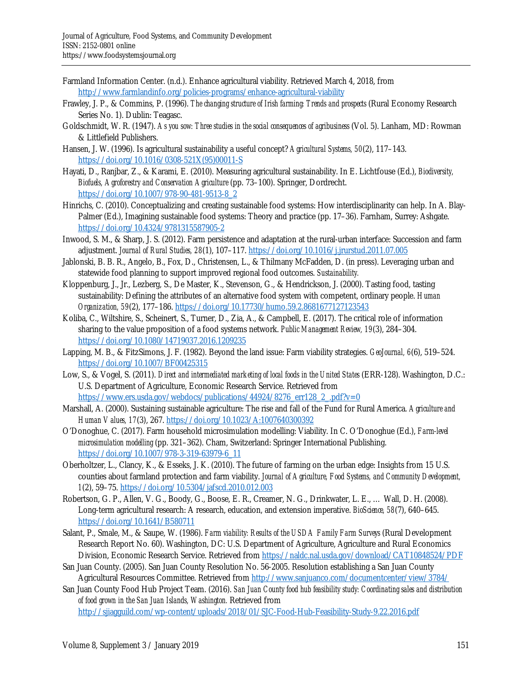- Farmland Information Center. (n.d.). Enhance agricultural viability. Retrieved March 4, 2018, from http://www.farmlandinfo.org/policies-programs/enhance-agricultural-viability
- Frawley, J. P., & Commins, P. (1996). *The changing structure of Irish farming: Trends and prospects* (Rural Economy Research Series No. 1). Dublin: Teagasc.
- Goldschmidt, W. R. (1947). *As you sow: Three studies in the social consequences of agribusiness* (Vol. 5). Lanham, MD: Rowman & Littlefield Publishers.
- Hansen, J. W. (1996). Is agricultural sustainability a useful concept? *Agricultural Systems, 50*(2), 117–143. [https://doi.org/10.1016/0308-521X\(95\)00011-S](https://doi.org/10.1016/0308-521X(95)00011-S)
- Hayati, D., Ranjbar, Z., & Karami, E. (2010). Measuring agricultural sustainability. In E. Lichtfouse (Ed.), *Biodiversity, Biofuels, Agroforestry and Conservation Agriculture* (pp. 73–100). Springer, Dordrecht. https://doi.org/10.1007/978-90-481-9513-8\_2
- Hinrichs, C. (2010). Conceptualizing and creating sustainable food systems: How interdisciplinarity can help. In A. Blay-Palmer (Ed.), Imagining sustainable food systems: Theory and practice (pp. 17–36). Farnham, Surrey: Ashgate. https://doi.org/10.4324/9781315587905-2
- Inwood, S. M., & Sharp, J. S. (2012). Farm persistence and adaptation at the rural-urban interface: Succession and farm adjustment. *Journal of Rural Studies, 28*(1), 107–117. https://doi.org/10.1016/j.jrurstud.2011.07.005
- Jablonski, B. B. R., Angelo, B., Fox, D., Christensen, L., & Thilmany McFadden, D. (in press). Leveraging urban and statewide food planning to support improved regional food outcomes. *Sustainability.*
- Kloppenburg, J., Jr., Lezberg, S., De Master, K., Stevenson, G., & Hendrickson, J. (2000). Tasting food, tasting sustainability: Defining the attributes of an alternative food system with competent, ordinary people. *Human Organization, 59*(2), 177–186. https://doi.org/10.17730/humo.59.2.8681677127123543
- Koliba, C., Wiltshire, S., Scheinert, S., Turner, D., Zia, A., & Campbell, E. (2017). The critical role of information sharing to the value proposition of a food systems network. *Public Management Review, 19*(3), 284–304. https://doi.org/10.1080/14719037.2016.1209235
- Lapping, M. B., & FitzSimons, J. F. (1982). Beyond the land issue: Farm viability strategies. *GeoJournal, 6*(6), 519–524. https://doi.org/10.1007/BF00425315
- Low, S., & Vogel, S. (2011). *Direct and intermediated marketing of local foods in the United States* (ERR-128). Washington, D.C.: U.S. Department of Agriculture, Economic Research Service. Retrieved from https://www.ers.usda.gov/webdocs/publications/44924/8276\_err128\_2\_.pdf?v=0
- Marshall, A. (2000). Sustaining sustainable agriculture: The rise and fall of the Fund for Rural America. *Agriculture and Human Values, 17*(3), 267. https://doi.org/10.1023/A:1007640300392
- O'Donoghue, C. (2017). Farm household microsimulation modelling: Viability. In C. O'Donoghue (Ed.), *Farm-level microsimulation modelling* (pp. 321–362). Cham, Switzerland: Springer International Publishing. https://doi.org/10.1007/978-3-319-63979-6\_11
- Oberholtzer, L., Clancy, K., & Esseks, J. K. (2010). The future of farming on the urban edge: Insights from 15 U.S. counties about farmland protection and farm viability. *Journal of Agriculture, Food Systems, and Community Development, 1*(2), 59–75. https://doi.org/10.5304/jafscd.2010.012.003
- Robertson, G. P., Allen, V. G., Boody, G., Boose, E. R., Creamer, N. G., Drinkwater, L. E., … Wall, D. H. (2008). Long-term agricultural research: A research, education, and extension imperative. *BioScience, 58*(7), 640–645. https://doi.org/10.1641/B580711
- Salant, P., Smale, M., & Saupe, W. (1986). *Farm viability: Results of the USDA Family Farm Surveys* (Rural Development Research Report No. 60). Washington, DC: U.S. Department of Agriculture, Agriculture and Rural Economics Division, Economic Research Service. Retrieved from https://naldc.nal.usda.gov/download/CAT10848524/PDF
- San Juan County. (2005). San Juan County Resolution No. 56-2005. Resolution establishing a San Juan County Agricultural Resources Committee. Retrieved from http://www.sanjuanco.com/documentcenter/view/3784/

San Juan County Food Hub Project Team. (2016). *San Juan County food hub feasibility study: Coordinating sales and distribution of food grown in the San Juan Islands, Washington.* Retrieved from

http://sjiagguild.com/wp-content/uploads/2018/01/SJC-Food-Hub-Feasibility-Study-9.22.2016.pdf